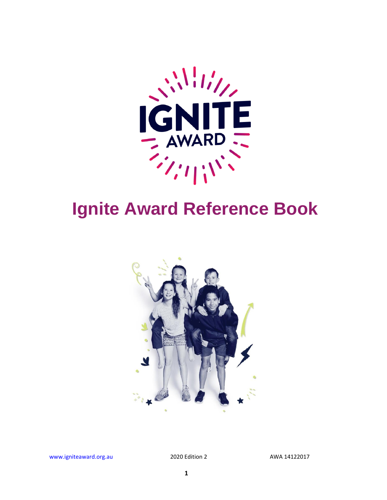

# **Ignite Award Reference Book**



www.igniteaward.org.au 2020 Edition 2 AWA 14122017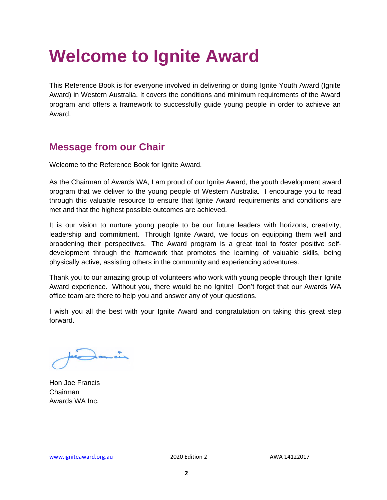# **Welcome to Ignite Award**

This Reference Book is for everyone involved in delivering or doing Ignite Youth Award (Ignite Award) in Western Australia. It covers the conditions and minimum requirements of the Award program and offers a framework to successfully guide young people in order to achieve an Award.

#### **Message from our Chair**

Welcome to the Reference Book for Ignite Award.

As the Chairman of Awards WA, I am proud of our Ignite Award, the youth development award program that we deliver to the young people of Western Australia. I encourage you to read through this valuable resource to ensure that Ignite Award requirements and conditions are met and that the highest possible outcomes are achieved.

It is our vision to nurture young people to be our future leaders with horizons, creativity, leadership and commitment. Through Ignite Award, we focus on equipping them well and broadening their perspectives. The Award program is a great tool to foster positive selfdevelopment through the framework that promotes the learning of valuable skills, being physically active, assisting others in the community and experiencing adventures.

Thank you to our amazing group of volunteers who work with young people through their Ignite Award experience. Without you, there would be no Ignite! Don't forget that our Awards WA office team are there to help you and answer any of your questions.

I wish you all the best with your Ignite Award and congratulation on taking this great step forward.

 $\frac{1}{2}$ 

Hon Joe Francis Chairman Awards WA Inc.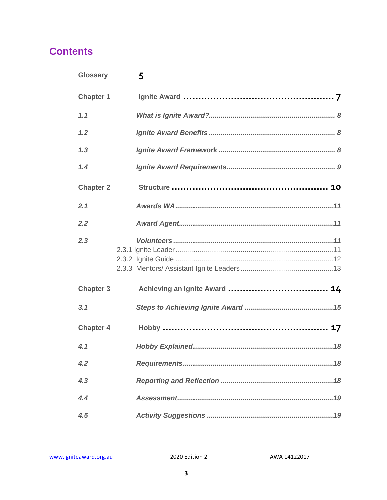#### **Contents**

| <b>Glossary</b>  | 5                             |
|------------------|-------------------------------|
| <b>Chapter 1</b> |                               |
| 1.1              |                               |
| 1.2              |                               |
| 1.3              |                               |
| 1.4              |                               |
| <b>Chapter 2</b> |                               |
| 2.1              |                               |
| 2.2              |                               |
| 2.3              |                               |
| <b>Chapter 3</b> | Achieving an Ignite Award  14 |
| 3.1              |                               |
| <b>Chapter 4</b> |                               |
| 4.1              |                               |
| 4.2              |                               |
| 4.3              |                               |
| $\overline{44}$  |                               |
| 4.5              |                               |

2020 Edition 2

AWA 14122017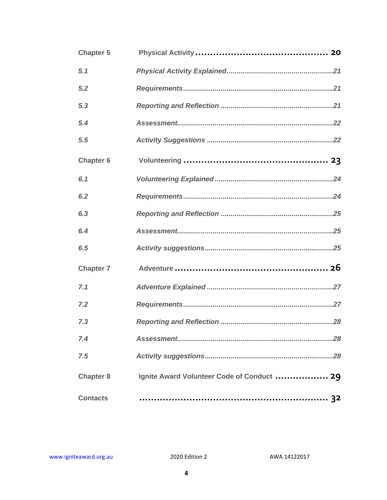| <b>Chapter 5</b> |                                            |
|------------------|--------------------------------------------|
| 5.1              |                                            |
| 5.2              |                                            |
| 5,3              |                                            |
| 5.4              |                                            |
| 5.5              |                                            |
| <b>Chapter 6</b> |                                            |
| 6.1              |                                            |
| 6.2              |                                            |
| 6.3              |                                            |
| 6.4              |                                            |
| 6.5              |                                            |
| <b>Chapter 7</b> |                                            |
| 7.1              |                                            |
| 7.2              |                                            |
| 7.3              |                                            |
| 7.4              |                                            |
| 7.5              |                                            |
| <b>Chapter 8</b> | Ignite Award Volunteer Code of Conduct  29 |
| <b>Contacts</b>  |                                            |

2020 Edition 2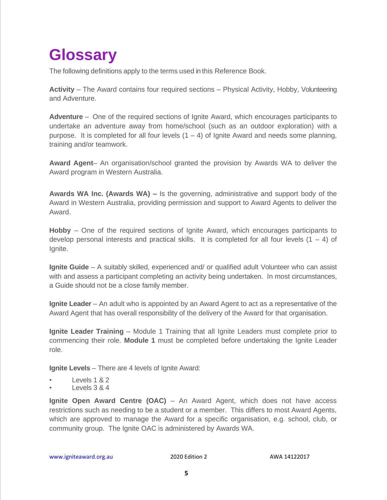## <span id="page-4-0"></span>**Glossary**

The following definitions apply to the terms used in this Reference Book.

**Activity** – The Award contains four required sections – Physical Activity, Hobby, Volunteering and Adventure.

**Adventure** – One of the required sections of Ignite Award, which encourages participants to undertake an adventure away from home/school (such as an outdoor exploration) with a purpose. It is completed for all four levels  $(1 – 4)$  of Ignite Award and needs some planning, training and/or teamwork.

**Award Agent**– An organisation/school granted the provision by Awards WA to deliver the Award program in Western Australia.

**Awards WA Inc. (Awards WA) –** Is the governing, administrative and support body of the Award in Western Australia, providing permission and support to Award Agents to deliver the Award.

**Hobby** – One of the required sections of Ignite Award, which encourages participants to develop personal interests and practical skills. It is completed for all four levels  $(1 - 4)$  of Ignite.

**Ignite Guide** – A suitably skilled, experienced and/ or qualified adult Volunteer who can assist with and assess a participant completing an activity being undertaken. In most circumstances, a Guide should not be a close family member.

**Ignite Leader** – An adult who is appointed by an Award Agent to act as a representative of the Award Agent that has overall responsibility of the delivery of the Award for that organisation.

**Ignite Leader Training** – Module 1 Training that all Ignite Leaders must complete prior to commencing their role. **Module 1** must be completed before undertaking the Ignite Leader role.

**Ignite Levels** – There are 4 levels of Ignite Award:

- Levels 1 & 2
- Levels 3 & 4

**Ignite Open Award Centre (OAC)** – An Award Agent, which does not have access restrictions such as needing to be a student or a member. This differs to most Award Agents, which are approved to manage the Award for a specific organisation, e.g. school, club, or community group. The Ignite OAC is administered by Awards WA.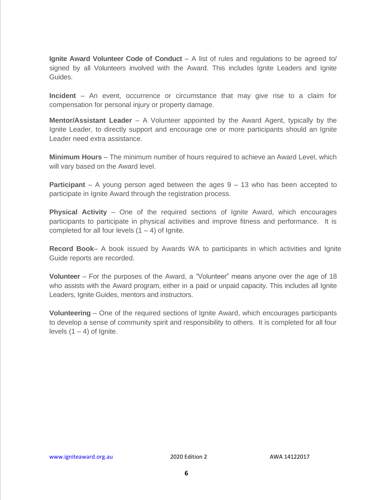**Ignite Award Volunteer Code of Conduct** – A list of rules and regulations to be agreed to/ signed by all Volunteers involved with the Award. This includes Ignite Leaders and Ignite Guides.

**Incident** – An event, occurrence or circumstance that may give rise to a claim for compensation for personal injury or property damage.

**Mentor/Assistant Leader** – A Volunteer appointed by the Award Agent, typically by the Ignite Leader, to directly support and encourage one or more participants should an Ignite Leader need extra assistance.

**Minimum Hours** – The minimum number of hours required to achieve an Award Level, which will vary based on the Award level.

**Participant** – A young person aged between the ages 9 – 13 who has been accepted to participate in Ignite Award through the registration process.

**Physical Activity** – One of the required sections of Ignite Award, which encourages participants to participate in physical activities and improve fitness and performance. It is completed for all four levels  $(1 – 4)$  of Ignite.

**Record Book**– A book issued by Awards WA to participants in which activities and Ignite Guide reports are recorded.

**Volunteer** – For the purposes of the Award, a "Volunteer" means anyone over the age of 18 who assists with the Award program, either in a paid or unpaid capacity. This includes all Ignite Leaders, Ignite Guides, mentors and instructors.

**Volunteering** – One of the required sections of Ignite Award, which encourages participants to develop a sense of community spirit and responsibility to others. It is completed for all four levels  $(1 – 4)$  of Ignite.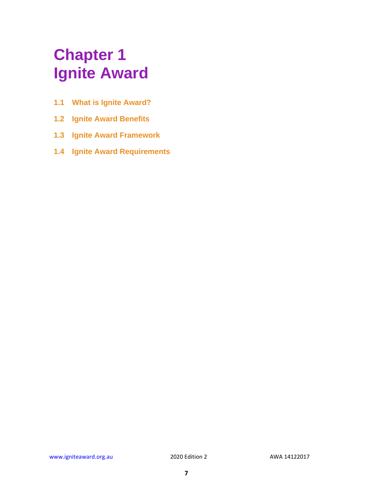## <span id="page-6-0"></span>**Chapter 1 Ignite Award**

- **1.1 What is Ignite Award?**
- **1.2 Ignite Award Benefits**
- **1.3 Ignite Award Framework**
- **1.4 Ignite Award Requirements**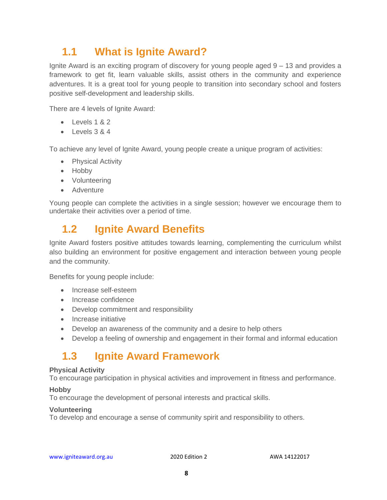### <span id="page-7-0"></span>**1.1 What is Ignite Award?**

Ignite Award is an exciting program of discovery for young people aged 9 – 13 and provides a framework to get fit, learn valuable skills, assist others in the community and experience adventures. It is a great tool for young people to transition into secondary school and fosters positive self-development and leadership skills.

There are 4 levels of Ignite Award:

- Levels 1 & 2
- Levels 3 & 4

To achieve any level of Ignite Award, young people create a unique program of activities:

- Physical Activity
- Hobby
- Volunteering
- Adventure

Young people can complete the activities in a single session; however we encourage them to undertake their activities over a period of time.

#### <span id="page-7-1"></span>**1.2 Ignite Award Benefits**

Ignite Award fosters positive attitudes towards learning, complementing the curriculum whilst also building an environment for positive engagement and interaction between young people and the community.

Benefits for young people include:

- Increase self-esteem
- Increase confidence
- Develop commitment and responsibility
- Increase initiative
- Develop an awareness of the community and a desire to help others
- Develop a feeling of ownership and engagement in their formal and informal education

#### <span id="page-7-2"></span>**1.3 Ignite Award Framework**

#### **Physical Activity**

To encourage participation in physical activities and improvement in fitness and performance.

#### **Hobby**

To encourage the development of personal interests and practical skills.

#### **Volunteering**

To develop and encourage a sense of community spirit and responsibility to others.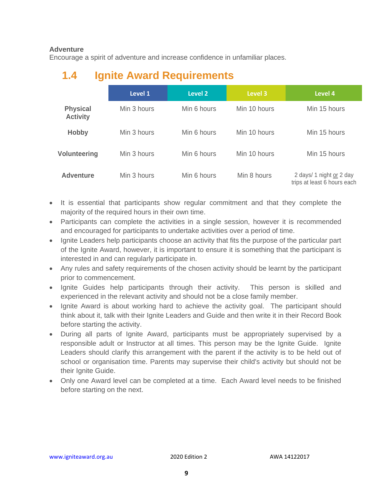#### **Adventure**

Encourage a spirit of adventure and increase confidence in unfamiliar places.

## <span id="page-8-0"></span>**Level 1 Level 2 Level 3 Level 4 Physical Activity** Min 3 hours Min 6 hours Min 10 hours Min 15 hours **Hobby** Min 3 hours Min 6 hours Min 10 hours Min 15 hours **Volunteering** Min 3 hours Min 6 hours Min 10 hours Min 15 hours **Adventure** Min 3 hours Min 6 hours Min 8 hours 2 days/ 1 night or 2 day trips at least 6 hours each

### **1.4 Ignite Award Requirements**

- It is essential that participants show regular commitment and that they complete the majority of the required hours in their own time.
- Participants can complete the activities in a single session, however it is recommended and encouraged for participants to undertake activities over a period of time.
- Ignite Leaders help participants choose an activity that fits the purpose of the particular part of the Ignite Award, however, it is important to ensure it is something that the participant is interested in and can regularly participate in.
- Any rules and safety requirements of the chosen activity should be learnt by the participant prior to commencement.
- Ignite Guides help participants through their activity. This person is skilled and experienced in the relevant activity and should not be a close family member.
- Ignite Award is about working hard to achieve the activity goal. The participant should think about it, talk with their Ignite Leaders and Guide and then write it in their Record Book before starting the activity.
- During all parts of Ignite Award, participants must be appropriately supervised by a responsible adult or Instructor at all times. This person may be the Ignite Guide. Ignite Leaders should clarify this arrangement with the parent if the activity is to be held out of school or organisation time. Parents may supervise their child's activity but should not be their Ignite Guide.
- Only one Award level can be completed at a time. Each Award level needs to be finished before starting on the next.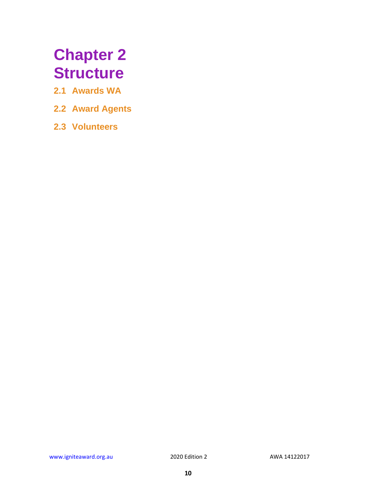## <span id="page-9-0"></span>**Chapter 2 Structure**

- **2.1 Awards WA**
- **2.2 Award Agents**
- **2.3 Volunteers**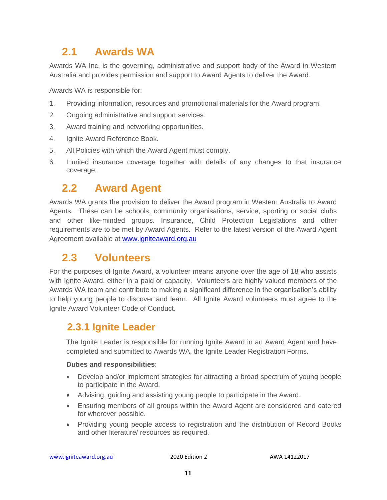### <span id="page-10-0"></span>**2.1 Awards WA**

Awards WA Inc. is the governing, administrative and support body of the Award in Western Australia and provides permission and support to Award Agents to deliver the Award.

Awards WA is responsible for:

- 1. Providing information, resources and promotional materials for the Award program.
- 2. Ongoing administrative and support services.
- 3. Award training and networking opportunities.
- 4. Ignite Award Reference Book.
- 5. All Policies with which the Award Agent must comply.
- 6. Limited insurance coverage together with details of any changes to that insurance coverage.

#### <span id="page-10-1"></span>**2.2 Award Agent**

Awards WA grants the provision to deliver the Award program in Western Australia to Award Agents. These can be schools, community organisations, service, sporting or social clubs and other like-minded groups. Insurance, Child Protection Legislations and other requirements are to be met by Award Agents. Refer to the latest version of the Award Agent Agreement available at [www.igniteaward.org.au](http://www.igniteaward.org.au/)

#### <span id="page-10-2"></span>**2.3 Volunteers**

For the purposes of Ignite Award, a volunteer means anyone over the age of 18 who assists with Ignite Award, either in a paid or capacity. Volunteers are highly valued members of the Awards WA team and contribute to making a significant difference in the organisation's ability to help young people to discover and learn. All Ignite Award volunteers must agree to the Ignite Award Volunteer Code of Conduct.

#### <span id="page-10-3"></span>**2.3.1 Ignite Leader**

The Ignite Leader is responsible for running Ignite Award in an Award Agent and have completed and submitted to Awards WA, the Ignite Leader Registration Forms.

#### **Duties and responsibilities**:

- Develop and/or implement strategies for attracting a broad spectrum of young people to participate in the Award.
- Advising, guiding and assisting young people to participate in the Award.
- Ensuring members of all groups within the Award Agent are considered and catered for wherever possible.
- Providing young people access to registration and the distribution of Record Books and other literature/ resources as required.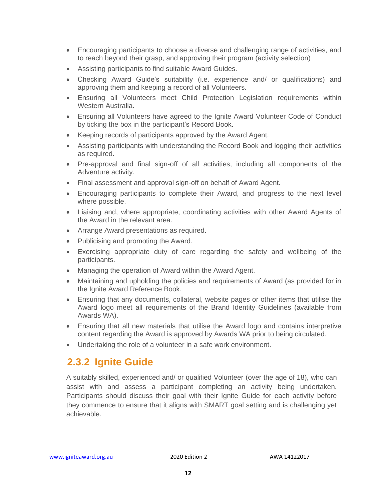- Encouraging participants to choose a diverse and challenging range of activities, and to reach beyond their grasp, and approving their program (activity selection)
- Assisting participants to find suitable Award Guides.
- Checking Award Guide's suitability (i.e. experience and/ or qualifications) and approving them and keeping a record of all Volunteers.
- Ensuring all Volunteers meet Child Protection Legislation requirements within Western Australia.
- Ensuring all Volunteers have agreed to the Ignite Award Volunteer Code of Conduct by ticking the box in the participant's Record Book.
- Keeping records of participants approved by the Award Agent.
- Assisting participants with understanding the Record Book and logging their activities as required.
- Pre-approval and final sign-off of all activities, including all components of the Adventure activity.
- Final assessment and approval sign-off on behalf of Award Agent.
- Encouraging participants to complete their Award, and progress to the next level where possible.
- Liaising and, where appropriate, coordinating activities with other Award Agents of the Award in the relevant area.
- Arrange Award presentations as required.
- Publicising and promoting the Award.
- Exercising appropriate duty of care regarding the safety and wellbeing of the participants.
- Managing the operation of Award within the Award Agent.
- Maintaining and upholding the policies and requirements of Award (as provided for in the Ignite Award Reference Book.
- Ensuring that any documents, collateral, website pages or other items that utilise the Award logo meet all requirements of the Brand Identity Guidelines (available from Awards WA).
- Ensuring that all new materials that utilise the Award logo and contains interpretive content regarding the Award is approved by Awards WA prior to being circulated.
- Undertaking the role of a volunteer in a safe work environment.

#### <span id="page-11-0"></span>**2.3.2 Ignite Guide**

A suitably skilled, experienced and/ or qualified Volunteer (over the age of 18), who can assist with and assess a participant completing an activity being undertaken. Participants should discuss their goal with their Ignite Guide for each activity before they commence to ensure that it aligns with SMART goal setting and is challenging yet achievable.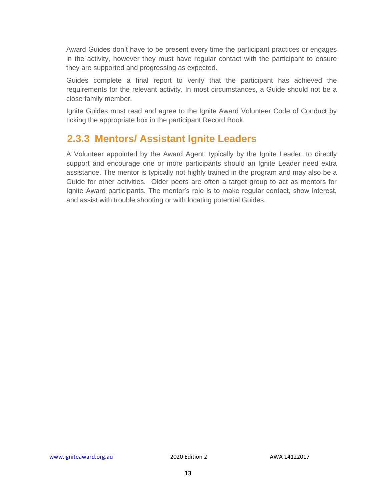Award Guides don't have to be present every time the participant practices or engages in the activity, however they must have regular contact with the participant to ensure they are supported and progressing as expected.

Guides complete a final report to verify that the participant has achieved the requirements for the relevant activity. In most circumstances, a Guide should not be a close family member.

Ignite Guides must read and agree to the Ignite Award Volunteer Code of Conduct by ticking the appropriate box in the participant Record Book.

#### <span id="page-12-0"></span>**2.3.3 Mentors/ Assistant Ignite Leaders**

A Volunteer appointed by the Award Agent, typically by the Ignite Leader, to directly support and encourage one or more participants should an Ignite Leader need extra assistance. The mentor is typically not highly trained in the program and may also be a Guide for other activities. Older peers are often a target group to act as mentors for Ignite Award participants. The mentor's role is to make regular contact, show interest, and assist with trouble shooting or with locating potential Guides.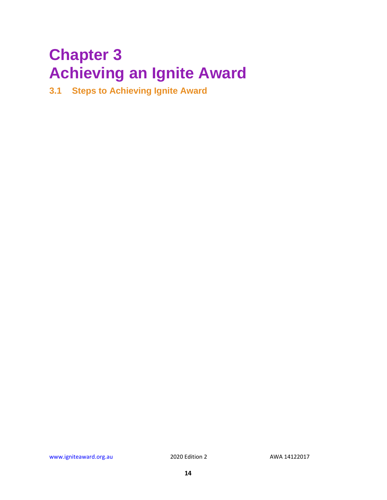## <span id="page-13-0"></span>**Chapter 3 Achieving an Ignite Award**

**3.1 Steps to Achieving Ignite Award**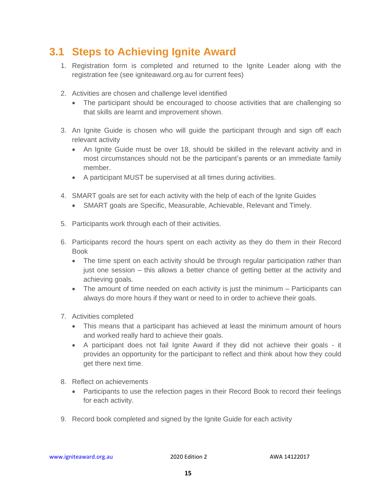#### <span id="page-14-0"></span>**3.1 Steps to Achieving Ignite Award**

- 1. Registration form is completed and returned to the Ignite Leader along with the registration fee (see igniteaward.org.au for current fees)
- 2. Activities are chosen and challenge level identified
	- The participant should be encouraged to choose activities that are challenging so that skills are learnt and improvement shown.
- 3. An Ignite Guide is chosen who will guide the participant through and sign off each relevant activity
	- An Ignite Guide must be over 18, should be skilled in the relevant activity and in most circumstances should not be the participant's parents or an immediate family member.
	- A participant MUST be supervised at all times during activities.
- 4. SMART goals are set for each activity with the help of each of the Ignite Guides
	- SMART goals are Specific, Measurable, Achievable, Relevant and Timely.
- 5. Participants work through each of their activities.
- 6. Participants record the hours spent on each activity as they do them in their Record Book
	- The time spent on each activity should be through regular participation rather than just one session – this allows a better chance of getting better at the activity and achieving goals.
	- The amount of time needed on each activity is just the minimum Participants can always do more hours if they want or need to in order to achieve their goals.
- 7. Activities completed
	- This means that a participant has achieved at least the minimum amount of hours and worked really hard to achieve their goals.
	- A participant does not fail Ignite Award if they did not achieve their goals it provides an opportunity for the participant to reflect and think about how they could get there next time.
- 8. Reflect on achievements
	- Participants to use the refection pages in their Record Book to record their feelings for each activity.
- 9. Record book completed and signed by the Ignite Guide for each activity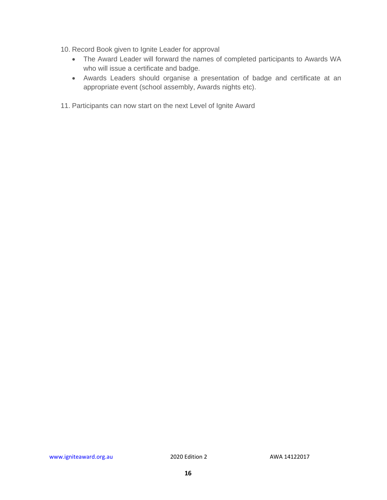- 10. Record Book given to Ignite Leader for approval
	- The Award Leader will forward the names of completed participants to Awards WA who will issue a certificate and badge.
	- Awards Leaders should organise a presentation of badge and certificate at an appropriate event (school assembly, Awards nights etc).
- 11. Participants can now start on the next Level of Ignite Award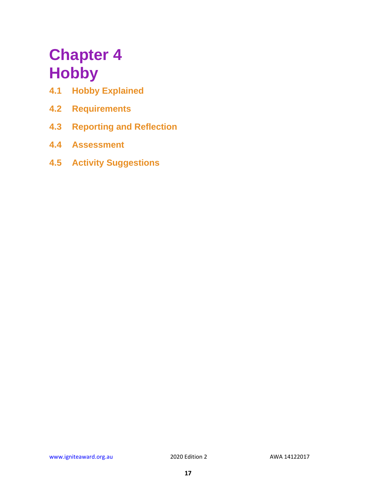## <span id="page-16-0"></span>**Chapter 4 Hobby**

- **4.1 Hobby Explained**
- **4.2 Requirements**
- **4.3 Reporting and Reflection**
- **4.4 Assessment**
- **4.5 Activity Suggestions**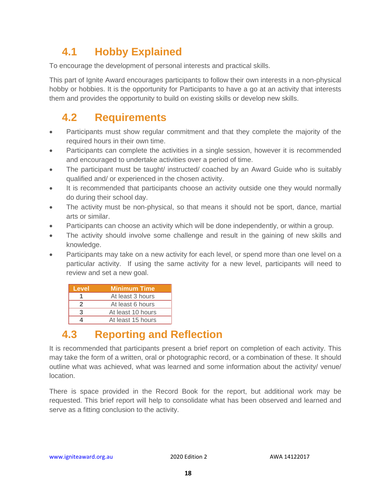## <span id="page-17-0"></span>**4.1 Hobby Explained**

To encourage the development of personal interests and practical skills.

This part of Ignite Award encourages participants to follow their own interests in a non-physical hobby or hobbies. It is the opportunity for Participants to have a go at an activity that interests them and provides the opportunity to build on existing skills or develop new skills.

### <span id="page-17-1"></span>**4.2 Requirements**

- Participants must show regular commitment and that they complete the majority of the required hours in their own time.
- Participants can complete the activities in a single session, however it is recommended and encouraged to undertake activities over a period of time.
- The participant must be taught/ instructed/ coached by an Award Guide who is suitably qualified and/ or experienced in the chosen activity.
- It is recommended that participants choose an activity outside one they would normally do during their school day.
- The activity must be non-physical, so that means it should not be sport, dance, martial arts or similar.
- Participants can choose an activity which will be done independently, or within a group.
- The activity should involve some challenge and result in the gaining of new skills and knowledge.
- Participants may take on a new activity for each level, or spend more than one level on a particular activity. If using the same activity for a new level, participants will need to review and set a new goal.

| Level | <b>Minimum Time</b> |
|-------|---------------------|
|       | At least 3 hours    |
|       | At least 6 hours    |
|       | At least 10 hours   |
|       | At least 15 hours   |

## <span id="page-17-2"></span>**4.3 Reporting and Reflection**

It is recommended that participants present a brief report on completion of each activity. This may take the form of a written, oral or photographic record, or a combination of these. It should outline what was achieved, what was learned and some information about the activity/ venue/ location.

There is space provided in the Record Book for the report, but additional work may be requested. This brief report will help to consolidate what has been observed and learned and serve as a fitting conclusion to the activity.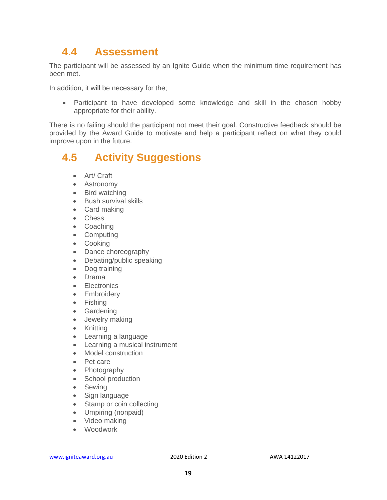#### <span id="page-18-0"></span>**4.4 Assessment**

The participant will be assessed by an Ignite Guide when the minimum time requirement has been met.

In addition, it will be necessary for the;

• Participant to have developed some knowledge and skill in the chosen hobby appropriate for their ability.

There is no failing should the participant not meet their goal. Constructive feedback should be provided by the Award Guide to motivate and help a participant reflect on what they could improve upon in the future.

#### <span id="page-18-1"></span>**4.5 Activity Suggestions**

- Art/ Craft
- Astronomy
- Bird watching
- Bush survival skills
- Card making
- Chess
- Coaching
- Computing
- Cooking
- Dance choreography
- Debating/public speaking
- Dog training
- Drama
- **Electronics**
- Embroidery
- Fishing
- Gardening
- Jewelry making
- Knitting
- Learning a language
- Learning a musical instrument
- Model construction
- Pet care
- Photography
- School production
- Sewing
- Sign language
- Stamp or coin collecting
- Umpiring (nonpaid)
- Video making
- Woodwork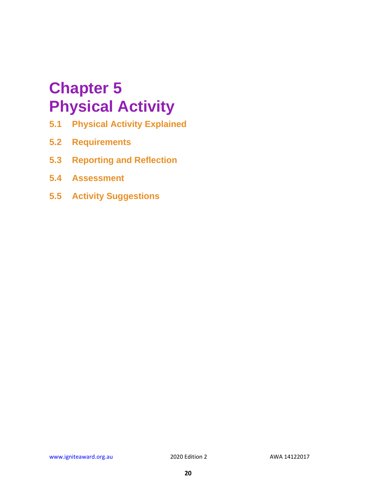## <span id="page-19-0"></span>**Chapter 5 Physical Activity**

- **5.1 Physical Activity Explained**
- **5.2 Requirements**
- **5.3 Reporting and Reflection**
- **5.4 Assessment**
- **5.5 Activity Suggestions**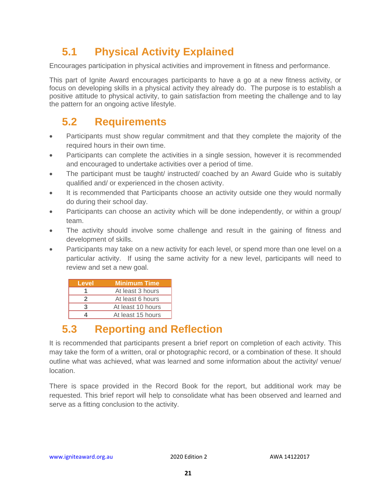## <span id="page-20-0"></span>**5.1 Physical Activity Explained**

Encourages participation in physical activities and improvement in fitness and performance.

This part of Ignite Award encourages participants to have a go at a new fitness activity, or focus on developing skills in a physical activity they already do. The purpose is to establish a positive attitude to physical activity, to gain satisfaction from meeting the challenge and to lay the pattern for an ongoing active lifestyle.

### <span id="page-20-1"></span>**5.2 Requirements**

- Participants must show regular commitment and that they complete the majority of the required hours in their own time.
- Participants can complete the activities in a single session, however it is recommended and encouraged to undertake activities over a period of time.
- The participant must be taught/ instructed/ coached by an Award Guide who is suitably qualified and/ or experienced in the chosen activity.
- It is recommended that Participants choose an activity outside one they would normally do during their school day.
- Participants can choose an activity which will be done independently, or within a group/ team.
- The activity should involve some challenge and result in the gaining of fitness and development of skills.
- Participants may take on a new activity for each level, or spend more than one level on a particular activity. If using the same activity for a new level, participants will need to review and set a new goal.

| Level | <b>Minimum Time</b> |
|-------|---------------------|
|       | At least 3 hours    |
| 2     | At least 6 hours    |
| 3     | At least 10 hours   |
|       | At least 15 hours   |

## <span id="page-20-2"></span>**5.3 Reporting and Reflection**

It is recommended that participants present a brief report on completion of each activity. This may take the form of a written, oral or photographic record, or a combination of these. It should outline what was achieved, what was learned and some information about the activity/ venue/ location.

There is space provided in the Record Book for the report, but additional work may be requested. This brief report will help to consolidate what has been observed and learned and serve as a fitting conclusion to the activity.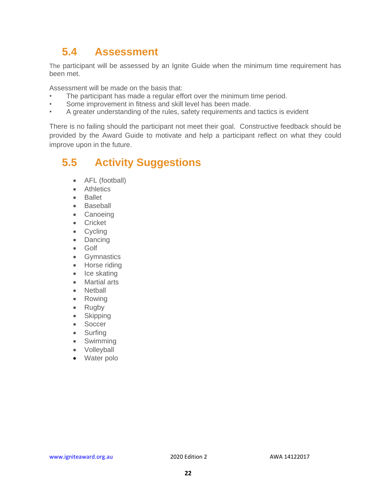### <span id="page-21-0"></span>**5.4 Assessment**

The participant will be assessed by an Ignite Guide when the minimum time requirement has been met.

Assessment will be made on the basis that:

- The participant has made a regular effort over the minimum time period.
- Some improvement in fitness and skill level has been made.
- A greater understanding of the rules, safety requirements and tactics is evident

There is no failing should the participant not meet their goal. Constructive feedback should be provided by the Award Guide to motivate and help a participant reflect on what they could improve upon in the future.

#### <span id="page-21-1"></span>**5.5 Activity Suggestions**

- AFL (football)
- Athletics
- Ballet
- Baseball
- Canoeing
- Cricket
- **Cycling**
- **Dancing**
- Golf
- Gymnastics
- Horse riding
- Ice skating
- Martial arts
- Netball
- Rowing
- Rugby
- Skipping
- Soccer
- Surfing
- **Swimming**
- Volleyball
- Water polo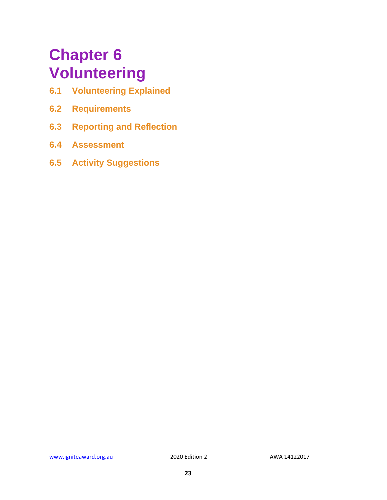## <span id="page-22-0"></span>**Chapter 6 Volunteering**

- **6.1 Volunteering Explained**
- **6.2 Requirements**
- **6.3 Reporting and Reflection**
- **6.4 Assessment**
- **6.5 Activity Suggestions**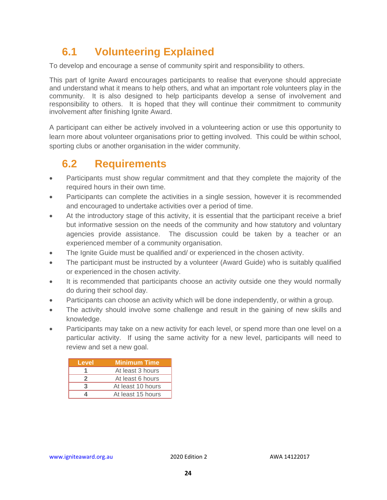## <span id="page-23-0"></span>**6.1 Volunteering Explained**

To develop and encourage a sense of community spirit and responsibility to others.

This part of Ignite Award encourages participants to realise that everyone should appreciate and understand what it means to help others, and what an important role volunteers play in the community. It is also designed to help participants develop a sense of involvement and responsibility to others. It is hoped that they will continue their commitment to community involvement after finishing Ignite Award.

A participant can either be actively involved in a volunteering action or use this opportunity to learn more about volunteer organisations prior to getting involved. This could be within school, sporting clubs or another organisation in the wider community.

## <span id="page-23-1"></span>**6.2 Requirements**

- Participants must show regular commitment and that they complete the majority of the required hours in their own time.
- Participants can complete the activities in a single session, however it is recommended and encouraged to undertake activities over a period of time.
- At the introductory stage of this activity, it is essential that the participant receive a brief but informative session on the needs of the community and how statutory and voluntary agencies provide assistance. The discussion could be taken by a teacher or an experienced member of a community organisation.
- The Ignite Guide must be qualified and/ or experienced in the chosen activity.
- The participant must be instructed by a volunteer (Award Guide) who is suitably qualified or experienced in the chosen activity.
- It is recommended that participants choose an activity outside one they would normally do during their school day.
- Participants can choose an activity which will be done independently, or within a group.
- The activity should involve some challenge and result in the gaining of new skills and knowledge.
- Participants may take on a new activity for each level, or spend more than one level on a particular activity. If using the same activity for a new level, participants will need to review and set a new goal.

| Level | <b>Minimum Time</b> |
|-------|---------------------|
|       | At least 3 hours    |
|       | At least 6 hours    |
| З     | At least 10 hours   |
|       | At least 15 hours   |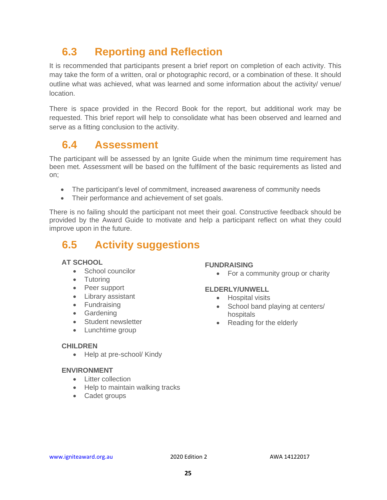## <span id="page-24-0"></span>**6.3 Reporting and Reflection**

It is recommended that participants present a brief report on completion of each activity. This may take the form of a written, oral or photographic record, or a combination of these. It should outline what was achieved, what was learned and some information about the activity/ venue/ location.

There is space provided in the Record Book for the report, but additional work may be requested. This brief report will help to consolidate what has been observed and learned and serve as a fitting conclusion to the activity.

#### <span id="page-24-1"></span>**6.4 Assessment**

The participant will be assessed by an Ignite Guide when the minimum time requirement has been met. Assessment will be based on the fulfilment of the basic requirements as listed and on;

- The participant's level of commitment, increased awareness of community needs
- Their performance and achievement of set goals.

There is no failing should the participant not meet their goal. Constructive feedback should be provided by the Award Guide to motivate and help a participant reflect on what they could improve upon in the future.

### <span id="page-24-2"></span>**6.5 Activity suggestions**

#### **AT SCHOOL**

- School councilor
- Tutoring
- Peer support
- Library assistant
- Fundraising
- Gardening
- Student newsletter
- Lunchtime group

#### **CHILDREN**

• Help at pre-school/ Kindy

#### **ENVIRONMENT**

- Litter collection
- Help to maintain walking tracks
- Cadet groups

#### **FUNDRAISING**

• For a community group or charity

#### **ELDERLY/UNWELL**

- Hospital visits
- School band playing at centers/ hospitals
- Reading for the elderly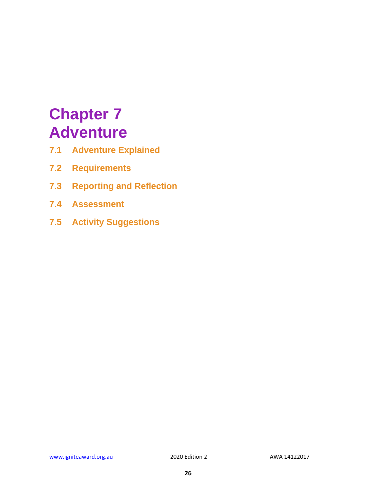## <span id="page-25-0"></span>**Chapter 7 Adventure**

- **7.1 Adventure Explained**
- **7.2 Requirements**
- **7.3 Reporting and Reflection**
- **7.4 Assessment**
- **7.5 Activity Suggestions**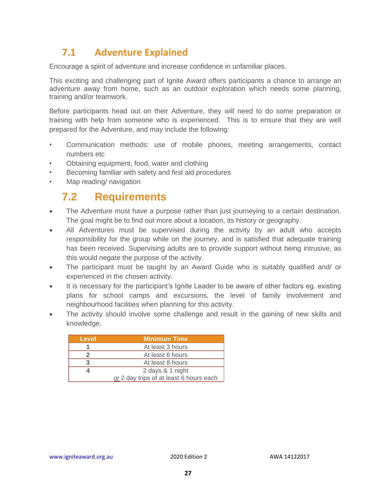#### <span id="page-26-0"></span>**7.1 Adventure Explained**

Encourage a spirit of adventure and increase confidence in unfamiliar places.

This exciting and challenging part of Ignite Award offers participants a chance to arrange an adventure away from home, such as an outdoor exploration which needs some planning, training and/or teamwork.

Before participants head out on their Adventure, they will need to do some preparation or training with help from someone who is experienced. This is to ensure that they are well prepared for the Adventure, and may include the following:

- Communication methods: use of mobile phones, meeting arrangements, contact numbers etc
- Obtaining equipment, food, water and clothing
- Becoming familiar with safety and first aid procedures
- <span id="page-26-1"></span>Map reading/ navigation

#### **7.2 Requirements**

- The Adventure must have a purpose rather than just journeying to a certain destination. The goal might be to find out more about a location, its history or geography.
- All Adventures must be supervised during the activity by an adult who accepts responsibility for the group while on the journey, and is satisfied that adequate training has been received. Supervising adults are to provide support without being intrusive, as this would negate the purpose of the activity.
- The participant must be taught by an Award Guide who is suitably qualified and/ or experienced in the chosen activity.
- It is necessary for the participant's Ignite Leader to be aware of other factors eg. existing plans for school camps and excursions, the level of family involvement and neighbourhood facilities when planning for this activity.
- The activity should involve some challenge and result in the gaining of new skills and knowledge.

| Level | <b>Minimum Time</b>                     |
|-------|-----------------------------------------|
|       | At least 3 hours                        |
|       | At least 6 hours                        |
|       | At least 8 hours                        |
|       | 2 days & 1 night                        |
|       | or 2 day trips of at least 6 hours each |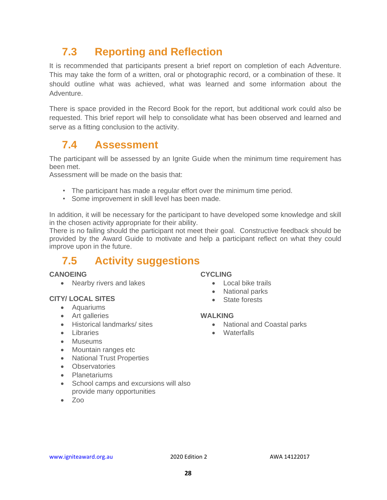## <span id="page-27-0"></span>**7.3 Reporting and Reflection**

It is recommended that participants present a brief report on completion of each Adventure. This may take the form of a written, oral or photographic record, or a combination of these. It should outline what was achieved, what was learned and some information about the Adventure.

There is space provided in the Record Book for the report, but additional work could also be requested. This brief report will help to consolidate what has been observed and learned and serve as a fitting conclusion to the activity.

#### <span id="page-27-1"></span>**7.4 Assessment**

The participant will be assessed by an Ignite Guide when the minimum time requirement has been met.

Assessment will be made on the basis that:

- The participant has made a regular effort over the minimum time period.
- Some improvement in skill level has been made.

In addition, it will be necessary for the participant to have developed some knowledge and skill in the chosen activity appropriate for their ability.

There is no failing should the participant not meet their goal. Constructive feedback should be provided by the Award Guide to motivate and help a participant reflect on what they could improve upon in the future.

## <span id="page-27-2"></span>**7.5 Activity suggestions**

#### **CANOEING**

• Nearby rivers and lakes

#### **CITY/ LOCAL SITES**

- Aquariums
- Art galleries
- Historical landmarks/ sites
- Libraries
- Museums
- Mountain ranges etc
- National Trust Properties
- Observatories
- Planetariums
- School camps and excursions will also provide many opportunities
- Zoo

#### **CYCLING**

- Local bike trails
- National parks
- State forests

#### **WALKING**

- National and Coastal parks
- Waterfalls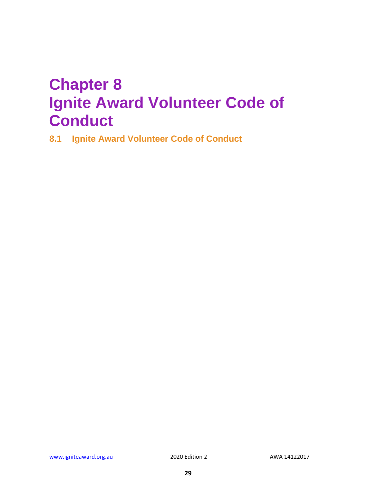## <span id="page-28-0"></span>**Chapter 8 Ignite Award Volunteer Code of Conduct**

**8.1 Ignite Award Volunteer Code of Conduct**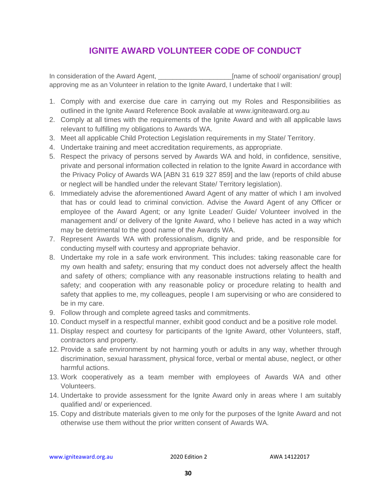#### **IGNITE AWARD VOLUNTEER CODE OF CONDUCT**

In consideration of the Award Agent, **Example 20** [name of school/ organisation/ group] approving me as an Volunteer in relation to the Ignite Award, I undertake that I will:

- 1. Comply with and exercise due care in carrying out my Roles and Responsibilities as outlined in the Ignite Award Reference Book available at www.igniteaward.org.au
- 2. Comply at all times with the requirements of the Ignite Award and with all applicable laws relevant to fulfilling my obligations to Awards WA.
- 3. Meet all applicable Child Protection Legislation requirements in my State/ Territory.
- 4. Undertake training and meet accreditation requirements, as appropriate.
- 5. Respect the privacy of persons served by Awards WA and hold, in confidence, sensitive, private and personal information collected in relation to the Ignite Award in accordance with the Privacy Policy of Awards WA [ABN 31 619 327 859] and the law (reports of child abuse or neglect will be handled under the relevant State/ Territory legislation).
- 6. Immediately advise the aforementioned Award Agent of any matter of which I am involved that has or could lead to criminal conviction. Advise the Award Agent of any Officer or employee of the Award Agent; or any Ignite Leader/ Guide/ Volunteer involved in the management and/ or delivery of the Ignite Award, who I believe has acted in a way which may be detrimental to the good name of the Awards WA.
- 7. Represent Awards WA with professionalism, dignity and pride, and be responsible for conducting myself with courtesy and appropriate behavior.
- 8. Undertake my role in a safe work environment. This includes: taking reasonable care for my own health and safety; ensuring that my conduct does not adversely affect the health and safety of others; compliance with any reasonable instructions relating to health and safety; and cooperation with any reasonable policy or procedure relating to health and safety that applies to me, my colleagues, people I am supervising or who are considered to be in my care.
- 9. Follow through and complete agreed tasks and commitments.
- 10. Conduct myself in a respectful manner, exhibit good conduct and be a positive role model.
- 11. Display respect and courtesy for participants of the Ignite Award, other Volunteers, staff, contractors and property.
- 12. Provide a safe environment by not harming youth or adults in any way, whether through discrimination, sexual harassment, physical force, verbal or mental abuse, neglect, or other harmful actions.
- 13. Work cooperatively as a team member with employees of Awards WA and other Volunteers.
- 14. Undertake to provide assessment for the Ignite Award only in areas where I am suitably qualified and/ or experienced.
- 15. Copy and distribute materials given to me only for the purposes of the Ignite Award and not otherwise use them without the prior written consent of Awards WA.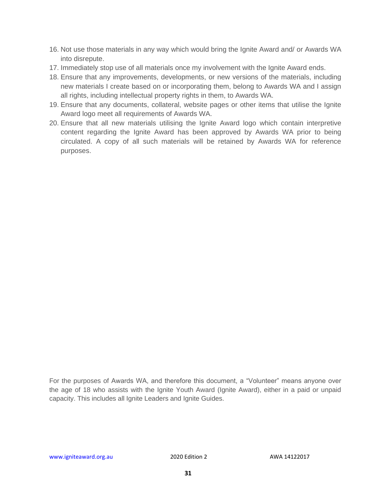- 16. Not use those materials in any way which would bring the Ignite Award and/ or Awards WA into disrepute.
- 17. Immediately stop use of all materials once my involvement with the Ignite Award ends.
- 18. Ensure that any improvements, developments, or new versions of the materials, including new materials I create based on or incorporating them, belong to Awards WA and I assign all rights, including intellectual property rights in them, to Awards WA.
- 19. Ensure that any documents, collateral, website pages or other items that utilise the Ignite Award logo meet all requirements of Awards WA.
- 20. Ensure that all new materials utilising the Ignite Award logo which contain interpretive content regarding the Ignite Award has been approved by Awards WA prior to being circulated. A copy of all such materials will be retained by Awards WA for reference purposes.

For the purposes of Awards WA, and therefore this document, a "Volunteer" means anyone over the age of 18 who assists with the Ignite Youth Award (Ignite Award), either in a paid or unpaid capacity. This includes all Ignite Leaders and Ignite Guides.